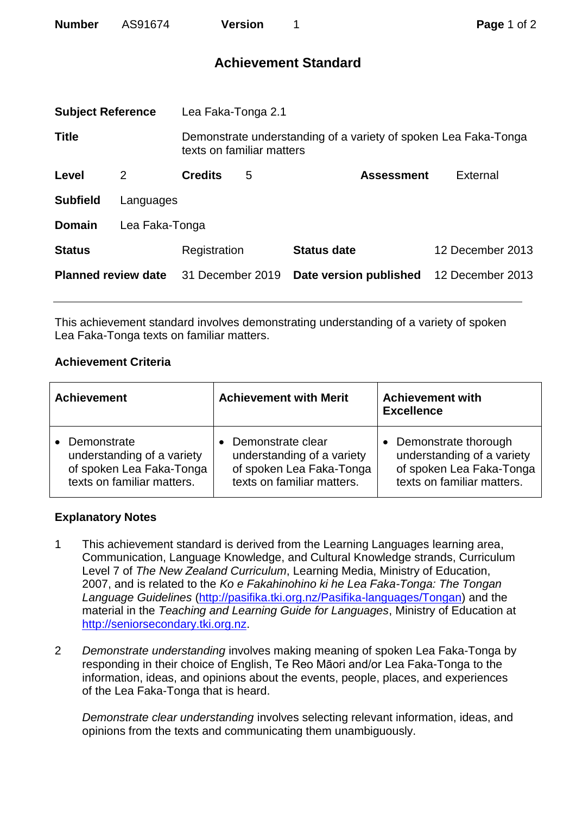| <b>Number</b>              | AS91674        |                           | <b>Version</b> | 1                                                               | Page 1 of 2      |  |
|----------------------------|----------------|---------------------------|----------------|-----------------------------------------------------------------|------------------|--|
|                            |                |                           |                | <b>Achievement Standard</b>                                     |                  |  |
| <b>Subject Reference</b>   |                | Lea Faka-Tonga 2.1        |                |                                                                 |                  |  |
| <b>Title</b>               |                | texts on familiar matters |                | Demonstrate understanding of a variety of spoken Lea Faka-Tonga |                  |  |
| Level                      | 2              | <b>Credits</b>            | 5              | <b>Assessment</b>                                               | External         |  |
| <b>Subfield</b>            | Languages      |                           |                |                                                                 |                  |  |
| <b>Domain</b>              | Lea Faka-Tonga |                           |                |                                                                 |                  |  |
| <b>Status</b>              |                | Registration              |                | <b>Status date</b>                                              | 12 December 2013 |  |
| <b>Planned review date</b> |                | 31 December 2019          |                | Date version published                                          | 12 December 2013 |  |

This achievement standard involves demonstrating understanding of a variety of spoken Lea Faka-Tonga texts on familiar matters.

## **Achievement Criteria**

| <b>Achievement</b>         | <b>Achievement with Merit</b> | <b>Achievement with</b><br><b>Excellence</b> |
|----------------------------|-------------------------------|----------------------------------------------|
| Demonstrate                | Demonstrate clear             | • Demonstrate thorough                       |
| understanding of a variety | understanding of a variety    | understanding of a variety                   |
| of spoken Lea Faka-Tonga   | of spoken Lea Faka-Tonga      | of spoken Lea Faka-Tonga                     |
| texts on familiar matters. | texts on familiar matters.    | texts on familiar matters.                   |

## **Explanatory Notes**

- 1 This achievement standard is derived from the Learning Languages learning area, Communication, Language Knowledge, and Cultural Knowledge strands, Curriculum Level 7 of *The New Zealand Curriculum*, Learning Media, Ministry of Education, 2007, and is related to the *Ko e Fakahinohino ki he Lea Faka-Tonga: The Tongan Language Guidelines* [\(http://pasifika.tki.org.nz/Pasifika-languages/Tongan\)](http://pasifika.tki.org.nz/Pasifika-languages/Tongan) and the material in the *Teaching and Learning Guide for Languages*, Ministry of Education at [http://seniorsecondary.tki.org.nz.](http://seniorsecondary.tki.org.nz/)
- 2 *Demonstrate understanding* involves making meaning of spoken Lea Faka-Tonga by responding in their choice of English, Te Reo Māori and/or Lea Faka-Tonga to the information, ideas, and opinions about the events, people, places, and experiences of the Lea Faka-Tonga that is heard.

*Demonstrate clear understanding* involves selecting relevant information, ideas, and opinions from the texts and communicating them unambiguously.